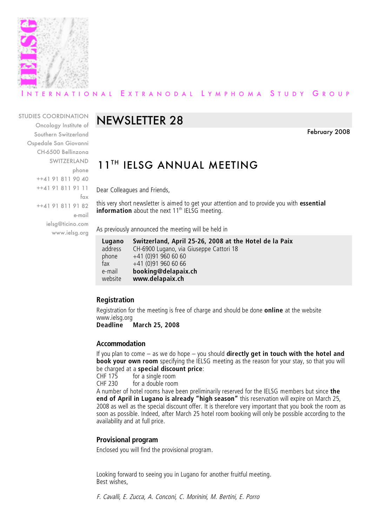

### ERNATIONAL EXTRANODAL LYMPHOMA STUDY GROUP

#### STUDIES COORDINATION

Oncology Institute of Southern Switzerland Ospedale San Giovanni CH-6500 Bellinzona SWITZERLAND phone ++41 91 811 90 40 ++41 91 811 91 11 fax ++41 91 811 91 82 e-mail ielsg@ticino.com www.ielsg.org

# NEWSLETTER 28

February 2008

# 11TH IELSG ANNUAL MEETING

Dear Colleagues and Friends,

this very short newsletter is aimed to get your attention and to provide you with **essential information** about the next 11<sup>th</sup> IELSG meeting.

As previously announced the meeting will be held in

| Lugano  | Switzerland, April 25-26, 2008 at the Hotel de la Paix |
|---------|--------------------------------------------------------|
| address | CH-6900 Lugano, via Giuseppe Cattori 18                |
| phone   | $+41(0)919606060$                                      |
| fax     | $+41(0)919606066$                                      |
| e-mail  | booking@delapaix.ch                                    |
| website | www.delapaix.ch                                        |

### **Registration**

Registration for the meeting is free of charge and should be done **online** at the website www.ielsg.org<br>Deadline

**Deadline March 25, 2008**

#### **Accommodation**

If you plan to come – as we do hope – you should **directly get in touch with the hotel and book your own room** specifying the IELSG meeting as the reason for your stay, so that you will be charged at a **special discount price**:

for a single room CHF 230 for a double room

A number of hotel rooms have been preliminarily reserved for the IELSG members but since **the end of April in Lugano is already "high season"** this reservation will expire on March 25, 2008 as well as the special discount offer. It is therefore very important that you book the room as soon as possible. Indeed, after March 25 hotel room booking will only be possible according to the availability and at full price.

### **Provisional program**

Enclosed you will find the provisional program.

Looking forward to seeing you in Lugano for another fruitful meeting. Best wishes,

F. Cavalli, E. Zucca, A. Conconi, C. Morinini, M. Bertini, E. Porro